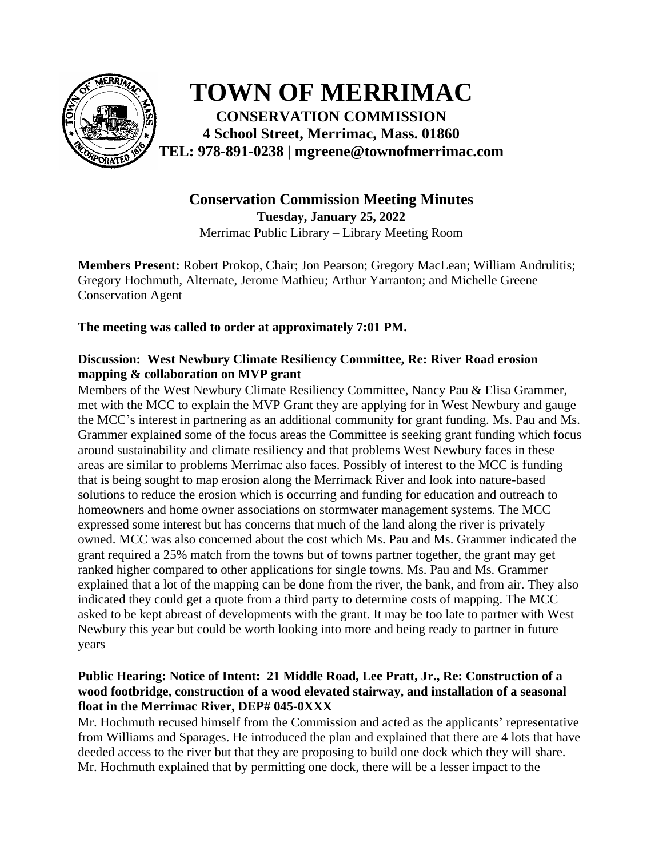

**TOWN OF MERRIMAC CONSERVATION COMMISSION 4 School Street, Merrimac, Mass. 01860 TEL: 978-891-0238 | mgreene@townofmerrimac.com**

# **Conservation Commission Meeting Minutes Tuesday, January 25, 2022** Merrimac Public Library – Library Meeting Room

**Members Present:** Robert Prokop, Chair; Jon Pearson; Gregory MacLean; William Andrulitis; Gregory Hochmuth, Alternate, Jerome Mathieu; Arthur Yarranton; and Michelle Greene Conservation Agent

**The meeting was called to order at approximately 7:01 PM.**

## **Discussion: West Newbury Climate Resiliency Committee, Re: River Road erosion mapping & collaboration on MVP grant**

Members of the West Newbury Climate Resiliency Committee, Nancy Pau & Elisa Grammer, met with the MCC to explain the MVP Grant they are applying for in West Newbury and gauge the MCC's interest in partnering as an additional community for grant funding. Ms. Pau and Ms. Grammer explained some of the focus areas the Committee is seeking grant funding which focus around sustainability and climate resiliency and that problems West Newbury faces in these areas are similar to problems Merrimac also faces. Possibly of interest to the MCC is funding that is being sought to map erosion along the Merrimack River and look into nature-based solutions to reduce the erosion which is occurring and funding for education and outreach to homeowners and home owner associations on stormwater management systems. The MCC expressed some interest but has concerns that much of the land along the river is privately owned. MCC was also concerned about the cost which Ms. Pau and Ms. Grammer indicated the grant required a 25% match from the towns but of towns partner together, the grant may get ranked higher compared to other applications for single towns. Ms. Pau and Ms. Grammer explained that a lot of the mapping can be done from the river, the bank, and from air. They also indicated they could get a quote from a third party to determine costs of mapping. The MCC asked to be kept abreast of developments with the grant. It may be too late to partner with West Newbury this year but could be worth looking into more and being ready to partner in future years

## **Public Hearing: Notice of Intent: 21 Middle Road, Lee Pratt, Jr., Re: Construction of a wood footbridge, construction of a wood elevated stairway, and installation of a seasonal float in the Merrimac River, DEP# 045-0XXX**

Mr. Hochmuth recused himself from the Commission and acted as the applicants' representative from Williams and Sparages. He introduced the plan and explained that there are 4 lots that have deeded access to the river but that they are proposing to build one dock which they will share. Mr. Hochmuth explained that by permitting one dock, there will be a lesser impact to the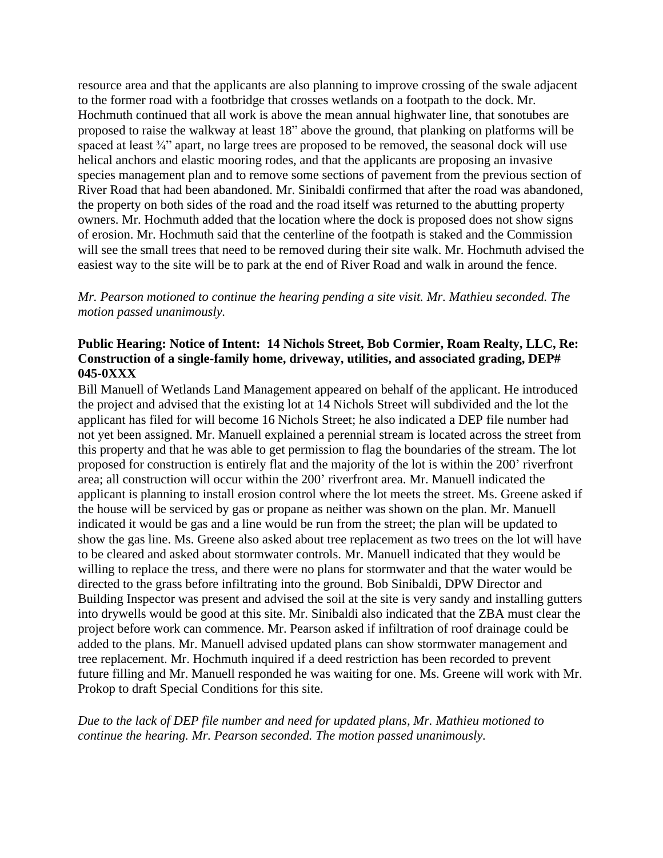resource area and that the applicants are also planning to improve crossing of the swale adjacent to the former road with a footbridge that crosses wetlands on a footpath to the dock. Mr. Hochmuth continued that all work is above the mean annual highwater line, that sonotubes are proposed to raise the walkway at least 18" above the ground, that planking on platforms will be spaced at least <sup>3</sup>/4" apart, no large trees are proposed to be removed, the seasonal dock will use helical anchors and elastic mooring rodes, and that the applicants are proposing an invasive species management plan and to remove some sections of pavement from the previous section of River Road that had been abandoned. Mr. Sinibaldi confirmed that after the road was abandoned, the property on both sides of the road and the road itself was returned to the abutting property owners. Mr. Hochmuth added that the location where the dock is proposed does not show signs of erosion. Mr. Hochmuth said that the centerline of the footpath is staked and the Commission will see the small trees that need to be removed during their site walk. Mr. Hochmuth advised the easiest way to the site will be to park at the end of River Road and walk in around the fence.

*Mr. Pearson motioned to continue the hearing pending a site visit. Mr. Mathieu seconded. The motion passed unanimously.*

## **Public Hearing: Notice of Intent: 14 Nichols Street, Bob Cormier, Roam Realty, LLC, Re: Construction of a single-family home, driveway, utilities, and associated grading, DEP# 045-0XXX**

Bill Manuell of Wetlands Land Management appeared on behalf of the applicant. He introduced the project and advised that the existing lot at 14 Nichols Street will subdivided and the lot the applicant has filed for will become 16 Nichols Street; he also indicated a DEP file number had not yet been assigned. Mr. Manuell explained a perennial stream is located across the street from this property and that he was able to get permission to flag the boundaries of the stream. The lot proposed for construction is entirely flat and the majority of the lot is within the 200' riverfront area; all construction will occur within the 200' riverfront area. Mr. Manuell indicated the applicant is planning to install erosion control where the lot meets the street. Ms. Greene asked if the house will be serviced by gas or propane as neither was shown on the plan. Mr. Manuell indicated it would be gas and a line would be run from the street; the plan will be updated to show the gas line. Ms. Greene also asked about tree replacement as two trees on the lot will have to be cleared and asked about stormwater controls. Mr. Manuell indicated that they would be willing to replace the tress, and there were no plans for stormwater and that the water would be directed to the grass before infiltrating into the ground. Bob Sinibaldi, DPW Director and Building Inspector was present and advised the soil at the site is very sandy and installing gutters into drywells would be good at this site. Mr. Sinibaldi also indicated that the ZBA must clear the project before work can commence. Mr. Pearson asked if infiltration of roof drainage could be added to the plans. Mr. Manuell advised updated plans can show stormwater management and tree replacement. Mr. Hochmuth inquired if a deed restriction has been recorded to prevent future filling and Mr. Manuell responded he was waiting for one. Ms. Greene will work with Mr. Prokop to draft Special Conditions for this site.

*Due to the lack of DEP file number and need for updated plans, Mr. Mathieu motioned to continue the hearing. Mr. Pearson seconded. The motion passed unanimously.*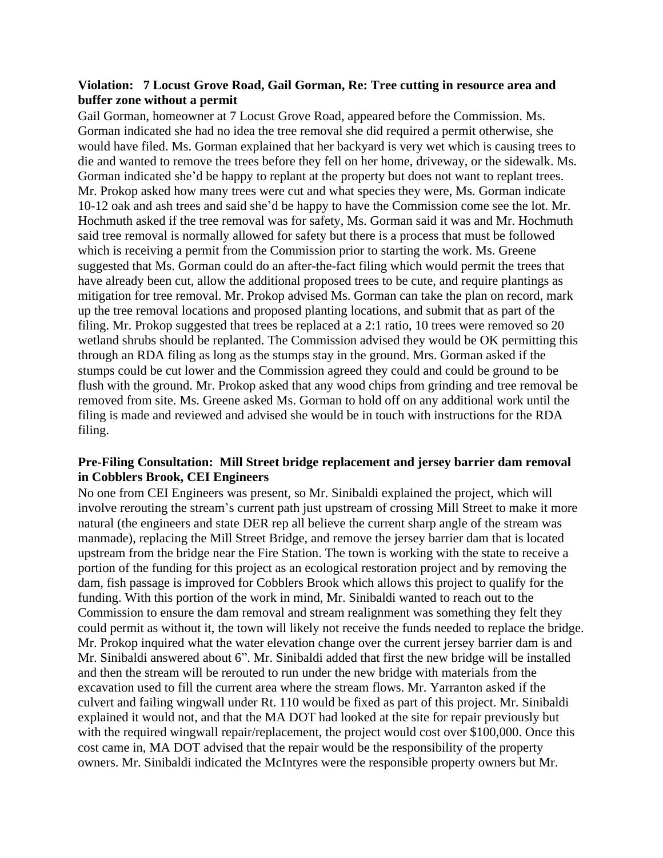## **Violation: 7 Locust Grove Road, Gail Gorman, Re: Tree cutting in resource area and buffer zone without a permit**

Gail Gorman, homeowner at 7 Locust Grove Road, appeared before the Commission. Ms. Gorman indicated she had no idea the tree removal she did required a permit otherwise, she would have filed. Ms. Gorman explained that her backyard is very wet which is causing trees to die and wanted to remove the trees before they fell on her home, driveway, or the sidewalk. Ms. Gorman indicated she'd be happy to replant at the property but does not want to replant trees. Mr. Prokop asked how many trees were cut and what species they were, Ms. Gorman indicate 10-12 oak and ash trees and said she'd be happy to have the Commission come see the lot. Mr. Hochmuth asked if the tree removal was for safety, Ms. Gorman said it was and Mr. Hochmuth said tree removal is normally allowed for safety but there is a process that must be followed which is receiving a permit from the Commission prior to starting the work. Ms. Greene suggested that Ms. Gorman could do an after-the-fact filing which would permit the trees that have already been cut, allow the additional proposed trees to be cute, and require plantings as mitigation for tree removal. Mr. Prokop advised Ms. Gorman can take the plan on record, mark up the tree removal locations and proposed planting locations, and submit that as part of the filing. Mr. Prokop suggested that trees be replaced at a 2:1 ratio, 10 trees were removed so 20 wetland shrubs should be replanted. The Commission advised they would be OK permitting this through an RDA filing as long as the stumps stay in the ground. Mrs. Gorman asked if the stumps could be cut lower and the Commission agreed they could and could be ground to be flush with the ground. Mr. Prokop asked that any wood chips from grinding and tree removal be removed from site. Ms. Greene asked Ms. Gorman to hold off on any additional work until the filing is made and reviewed and advised she would be in touch with instructions for the RDA filing.

## **Pre-Filing Consultation: Mill Street bridge replacement and jersey barrier dam removal in Cobblers Brook, CEI Engineers**

No one from CEI Engineers was present, so Mr. Sinibaldi explained the project, which will involve rerouting the stream's current path just upstream of crossing Mill Street to make it more natural (the engineers and state DER rep all believe the current sharp angle of the stream was manmade), replacing the Mill Street Bridge, and remove the jersey barrier dam that is located upstream from the bridge near the Fire Station. The town is working with the state to receive a portion of the funding for this project as an ecological restoration project and by removing the dam, fish passage is improved for Cobblers Brook which allows this project to qualify for the funding. With this portion of the work in mind, Mr. Sinibaldi wanted to reach out to the Commission to ensure the dam removal and stream realignment was something they felt they could permit as without it, the town will likely not receive the funds needed to replace the bridge. Mr. Prokop inquired what the water elevation change over the current jersey barrier dam is and Mr. Sinibaldi answered about 6". Mr. Sinibaldi added that first the new bridge will be installed and then the stream will be rerouted to run under the new bridge with materials from the excavation used to fill the current area where the stream flows. Mr. Yarranton asked if the culvert and failing wingwall under Rt. 110 would be fixed as part of this project. Mr. Sinibaldi explained it would not, and that the MA DOT had looked at the site for repair previously but with the required wingwall repair/replacement, the project would cost over \$100,000. Once this cost came in, MA DOT advised that the repair would be the responsibility of the property owners. Mr. Sinibaldi indicated the McIntyres were the responsible property owners but Mr.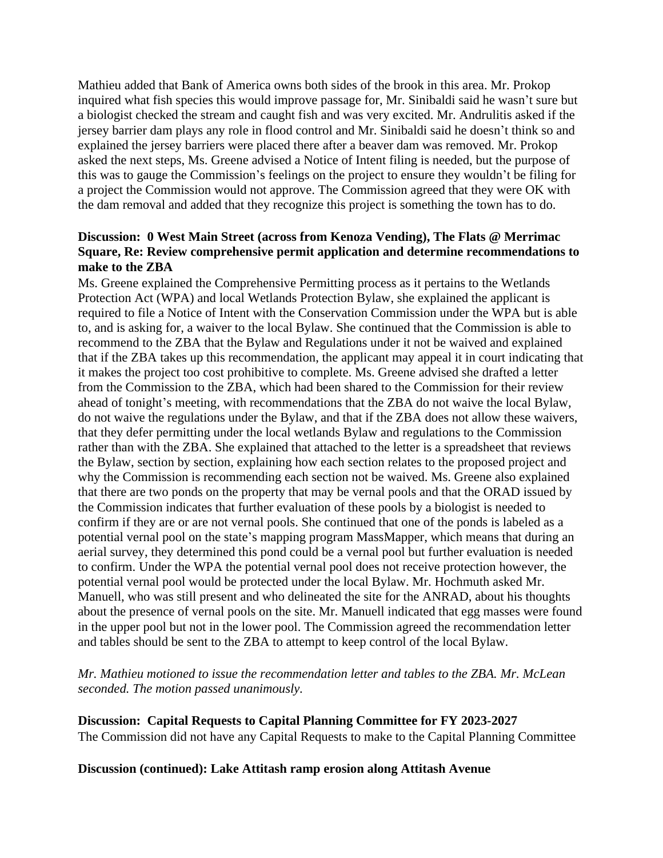Mathieu added that Bank of America owns both sides of the brook in this area. Mr. Prokop inquired what fish species this would improve passage for, Mr. Sinibaldi said he wasn't sure but a biologist checked the stream and caught fish and was very excited. Mr. Andrulitis asked if the jersey barrier dam plays any role in flood control and Mr. Sinibaldi said he doesn't think so and explained the jersey barriers were placed there after a beaver dam was removed. Mr. Prokop asked the next steps, Ms. Greene advised a Notice of Intent filing is needed, but the purpose of this was to gauge the Commission's feelings on the project to ensure they wouldn't be filing for a project the Commission would not approve. The Commission agreed that they were OK with the dam removal and added that they recognize this project is something the town has to do.

## **Discussion: 0 West Main Street (across from Kenoza Vending), The Flats @ Merrimac Square, Re: Review comprehensive permit application and determine recommendations to make to the ZBA**

Ms. Greene explained the Comprehensive Permitting process as it pertains to the Wetlands Protection Act (WPA) and local Wetlands Protection Bylaw, she explained the applicant is required to file a Notice of Intent with the Conservation Commission under the WPA but is able to, and is asking for, a waiver to the local Bylaw. She continued that the Commission is able to recommend to the ZBA that the Bylaw and Regulations under it not be waived and explained that if the ZBA takes up this recommendation, the applicant may appeal it in court indicating that it makes the project too cost prohibitive to complete. Ms. Greene advised she drafted a letter from the Commission to the ZBA, which had been shared to the Commission for their review ahead of tonight's meeting, with recommendations that the ZBA do not waive the local Bylaw, do not waive the regulations under the Bylaw, and that if the ZBA does not allow these waivers, that they defer permitting under the local wetlands Bylaw and regulations to the Commission rather than with the ZBA. She explained that attached to the letter is a spreadsheet that reviews the Bylaw, section by section, explaining how each section relates to the proposed project and why the Commission is recommending each section not be waived. Ms. Greene also explained that there are two ponds on the property that may be vernal pools and that the ORAD issued by the Commission indicates that further evaluation of these pools by a biologist is needed to confirm if they are or are not vernal pools. She continued that one of the ponds is labeled as a potential vernal pool on the state's mapping program MassMapper, which means that during an aerial survey, they determined this pond could be a vernal pool but further evaluation is needed to confirm. Under the WPA the potential vernal pool does not receive protection however, the potential vernal pool would be protected under the local Bylaw. Mr. Hochmuth asked Mr. Manuell, who was still present and who delineated the site for the ANRAD, about his thoughts about the presence of vernal pools on the site. Mr. Manuell indicated that egg masses were found in the upper pool but not in the lower pool. The Commission agreed the recommendation letter and tables should be sent to the ZBA to attempt to keep control of the local Bylaw.

*Mr. Mathieu motioned to issue the recommendation letter and tables to the ZBA. Mr. McLean seconded. The motion passed unanimously.* 

**Discussion: Capital Requests to Capital Planning Committee for FY 2023-2027** The Commission did not have any Capital Requests to make to the Capital Planning Committee

**Discussion (continued): Lake Attitash ramp erosion along Attitash Avenue**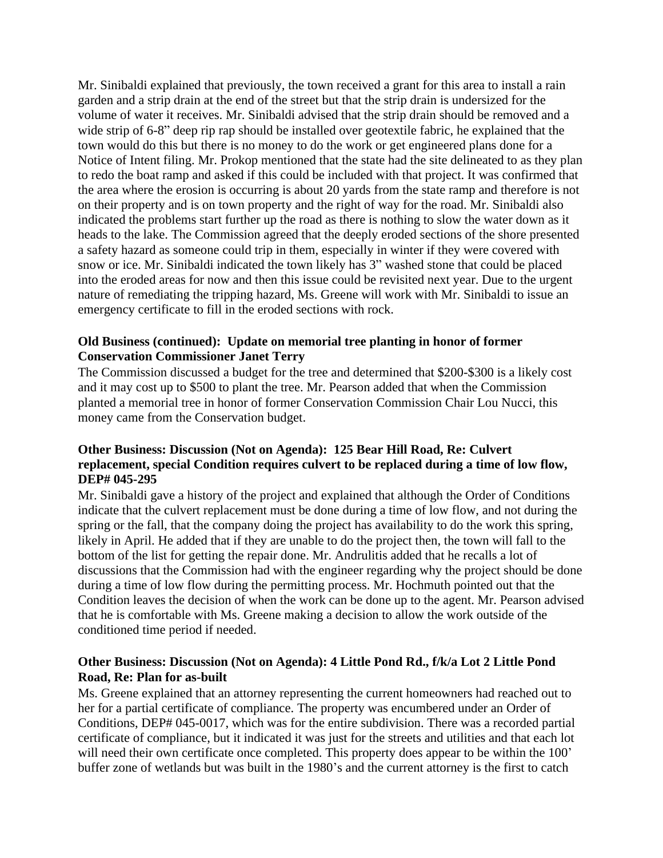Mr. Sinibaldi explained that previously, the town received a grant for this area to install a rain garden and a strip drain at the end of the street but that the strip drain is undersized for the volume of water it receives. Mr. Sinibaldi advised that the strip drain should be removed and a wide strip of 6-8" deep rip rap should be installed over geotextile fabric, he explained that the town would do this but there is no money to do the work or get engineered plans done for a Notice of Intent filing. Mr. Prokop mentioned that the state had the site delineated to as they plan to redo the boat ramp and asked if this could be included with that project. It was confirmed that the area where the erosion is occurring is about 20 yards from the state ramp and therefore is not on their property and is on town property and the right of way for the road. Mr. Sinibaldi also indicated the problems start further up the road as there is nothing to slow the water down as it heads to the lake. The Commission agreed that the deeply eroded sections of the shore presented a safety hazard as someone could trip in them, especially in winter if they were covered with snow or ice. Mr. Sinibaldi indicated the town likely has 3" washed stone that could be placed into the eroded areas for now and then this issue could be revisited next year. Due to the urgent nature of remediating the tripping hazard, Ms. Greene will work with Mr. Sinibaldi to issue an emergency certificate to fill in the eroded sections with rock.

## **Old Business (continued): Update on memorial tree planting in honor of former Conservation Commissioner Janet Terry**

The Commission discussed a budget for the tree and determined that \$200-\$300 is a likely cost and it may cost up to \$500 to plant the tree. Mr. Pearson added that when the Commission planted a memorial tree in honor of former Conservation Commission Chair Lou Nucci, this money came from the Conservation budget.

## **Other Business: Discussion (Not on Agenda): 125 Bear Hill Road, Re: Culvert replacement, special Condition requires culvert to be replaced during a time of low flow, DEP# 045-295**

Mr. Sinibaldi gave a history of the project and explained that although the Order of Conditions indicate that the culvert replacement must be done during a time of low flow, and not during the spring or the fall, that the company doing the project has availability to do the work this spring, likely in April. He added that if they are unable to do the project then, the town will fall to the bottom of the list for getting the repair done. Mr. Andrulitis added that he recalls a lot of discussions that the Commission had with the engineer regarding why the project should be done during a time of low flow during the permitting process. Mr. Hochmuth pointed out that the Condition leaves the decision of when the work can be done up to the agent. Mr. Pearson advised that he is comfortable with Ms. Greene making a decision to allow the work outside of the conditioned time period if needed.

## **Other Business: Discussion (Not on Agenda): 4 Little Pond Rd., f/k/a Lot 2 Little Pond Road, Re: Plan for as-built**

Ms. Greene explained that an attorney representing the current homeowners had reached out to her for a partial certificate of compliance. The property was encumbered under an Order of Conditions, DEP# 045-0017, which was for the entire subdivision. There was a recorded partial certificate of compliance, but it indicated it was just for the streets and utilities and that each lot will need their own certificate once completed. This property does appear to be within the 100<sup>'</sup> buffer zone of wetlands but was built in the 1980's and the current attorney is the first to catch